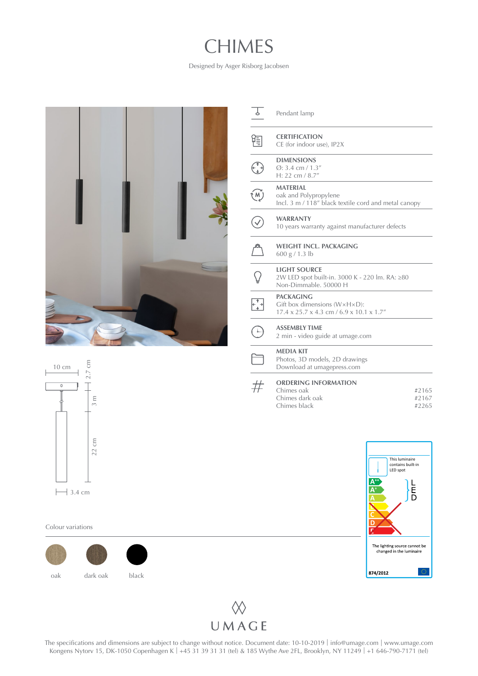## CHIMES

Designed by Asger Risborg Jacobsen



| P.                                      | Pendant lamp                                                                                                   |                         |
|-----------------------------------------|----------------------------------------------------------------------------------------------------------------|-------------------------|
|                                         | <b>CERTIFICATION</b><br>CE (for indoor use), IP2X                                                              |                         |
|                                         | <b>DIMENSIONS</b><br>$Q: 3.4$ cm $/ 1.3''$<br>H: 22 cm / $8.7''$                                               |                         |
| $\widehat{M}$                           | <b>MATERIAL</b><br>oak and Polypropylene<br>Incl. 3 m / 118" black textile cord and metal canopy               |                         |
|                                         | <b>WARRANTY</b><br>10 years warranty against manufacturer defects                                              |                         |
|                                         | WEIGHT INCL. PACKAGING<br>600 g / 1.3 lb                                                                       |                         |
|                                         | <b>LIGHT SOURCE</b><br>2W LED spot built-in. 3000 K - 220 lm. RA: ≥80<br>Non-Dimmable, 50000 H                 |                         |
| $\begin{array}{c} +1 \\ +1 \end{array}$ | <b>PACKAGING</b><br>Gift box dimensions ( $W \times H \times D$ ):<br>17.4 x 25.7 x 4.3 cm / 6.9 x 10.1 x 1.7" |                         |
|                                         | <b>ASSEMBLY TIME</b><br>2 min - video guide at umage.com                                                       |                         |
|                                         | <b>MEDIA KIT</b><br>Photos, 3D models, 2D drawings<br>Download at umagepress.com                               |                         |
|                                         | <b>ORDERING INFORMATION</b><br>Chimes oak<br>Chimes dark oak<br>Chimes black                                   | #2165<br>#2167<br>#2265 |



2.7 cm 10 cm  $\overline{\mathsf{T}}$  $\overline{0}$  $3 m$  $22 \text{ cm}$  3 m  $22 \text{ cm}$  $\mapsto$  3.4 cm

Colour variations





The specifications and dimensions are subject to change without notice. Document date: 10-10-2019 | info[@umage.com](mailto:info%40umage.com?subject=) | www[.umage.com](https://www.umage.com/) Kongens Nytorv 15, DK-1050 Copenhagen K | +45 31 39 31 31 (tel) & 185 Wythe Ave 2FL, Brooklyn, NY 11249 | +1 646-790-7171 (tel)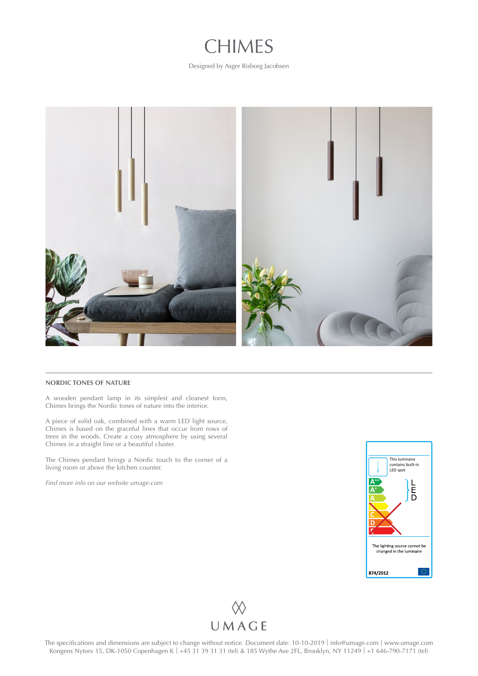

Designed by Asger Risborg Jacobsen



## **NORDIC TONES OF NATURE**

A wooden pendant lamp in its simplest and cleanest form, Chimes brings the Nordic tones of nature into the interior.

A piece of solid oak, combined with a warm LED light source, Chimes is based on the graceful lines that occur from rows of trees in the woods. Create a cosy atmosphere by using several Chimes in a straight line or a beautiful cluster.

The Chimes pendant brings a Nordic touch to the corner of a living room or above the kitchen counter.

*Find more info on our website [umage.com](http://umage.com)*